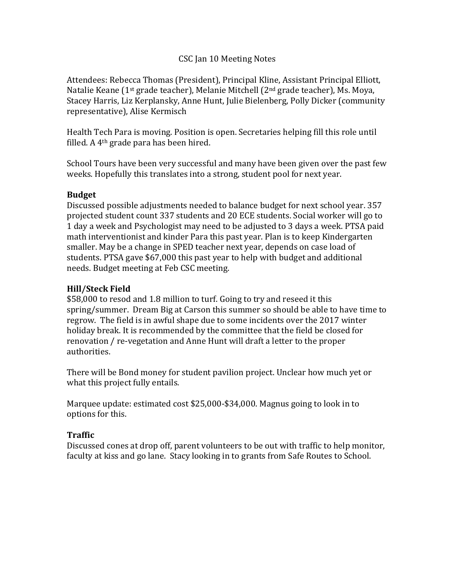#### CSC Jan 10 Meeting Notes

Attendees: Rebecca Thomas (President), Principal Kline, Assistant Principal Elliott, Natalie Keane (1st grade teacher), Melanie Mitchell (2nd grade teacher), Ms. Moya, Stacey Harris, Liz Kerplansky, Anne Hunt, Julie Bielenberg, Polly Dicker (community representative), Alise Kermisch

Health Tech Para is moving. Position is open. Secretaries helping fill this role until filled. A 4th grade para has been hired.

School Tours have been very successful and many have been given over the past few weeks. Hopefully this translates into a strong, student pool for next year.

### **Budget**

Discussed possible adjustments needed to balance budget for next school year. 357 projected student count 337 students and 20 ECE students. Social worker will go to 1 day a week and Psychologist may need to be adjusted to 3 days a week. PTSA paid math interventionist and kinder Para this past year. Plan is to keep Kindergarten smaller. May be a change in SPED teacher next year, depends on case load of students. PTSA gave \$67,000 this past year to help with budget and additional needs. Budget meeting at Feb CSC meeting.

### **Hill/Steck Field**

\$58,000 to resod and 1.8 million to turf. Going to try and reseed it this spring/summer. Dream Big at Carson this summer so should be able to have time to regrow. The field is in awful shape due to some incidents over the 2017 winter holiday break. It is recommended by the committee that the field be closed for renovation / re-vegetation and Anne Hunt will draft a letter to the proper authorities.

There will be Bond money for student pavilion project. Unclear how much yet or what this project fully entails.

Marquee update: estimated cost \$25,000-\$34,000. Magnus going to look in to options for this.

# **Traffic**

Discussed cones at drop off, parent volunteers to be out with traffic to help monitor, faculty at kiss and go lane. Stacy looking in to grants from Safe Routes to School.